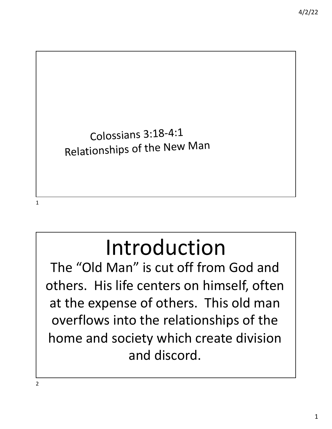

# Introduction

The "Old Man" is cut off from God and others. His life centers on himself, often at the expense of others. This old man overflows into the relationships of the home and society which create division and discord.

2

1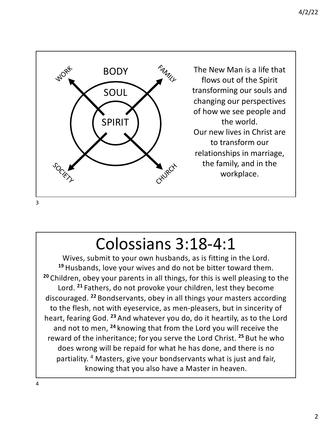

# Colossians 3:18-4:1

Wives, submit to your own husbands, as is fitting in the Lord. **<sup>19</sup>** Husbands, love your wives and do not be bitter toward them. **<sup>20</sup>** Children, obey your parents in all things, for this is well pleasing to the Lord. **<sup>21</sup>** Fathers, do not provoke your children, lest they become discouraged. **<sup>22</sup>** Bondservants, obey in all things your masters according to the flesh, not with eyeservice, as men-pleasers, but in sincerity of heart, fearing God. **<sup>23</sup>** And whatever you do, do it heartily, as to the Lord and not to men, **<sup>24</sup>** knowing that from the Lord you will receive the reward of the inheritance; for you serve the Lord Christ. **<sup>25</sup>** But he who does wrong will be repaid for what he has done, and there is no partiality. 4 Masters, give your bondservants what is just and fair, knowing that you also have a Master in heaven.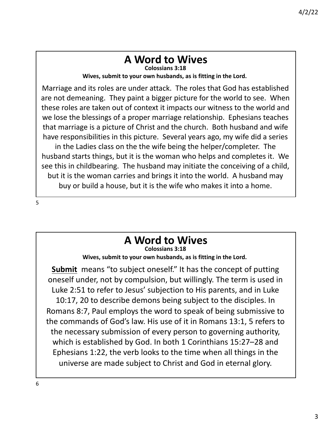#### **A Word to Wives Colossians 3:18**

**Wives, submit to your own husbands, as is fitting in the Lord.**

Marriage and its roles are under attack. The roles that God has established are not demeaning. They paint a bigger picture for the world to see. When these roles are taken out of context it impacts our witness to the world and we lose the blessings of a proper marriage relationship. Ephesians teaches that marriage is a picture of Christ and the church. Both husband and wife have responsibilities in this picture. Several years ago, my wife did a series in the Ladies class on the the wife being the helper/completer. The husband starts things, but it is the woman who helps and completes it. We see this in childbearing. The husband may initiate the conceiving of a child, but it is the woman carries and brings it into the world. A husband may buy or build a house, but it is the wife who makes it into a home.

5

# **A Word to Wives**

**Colossians 3:18 Wives, submit to your own husbands, as is fitting in the Lord.**

**Submit** means "to subject oneself." It has the concept of putting oneself under, not by compulsion, but willingly. The term is used in Luke 2:51 to refer to Jesus' subjection to His parents, and in Luke 10:17, 20 to describe demons being subject to the disciples. In Romans 8:7, Paul employs the word to speak of being submissive to the commands of God's law. His use of it in Romans 13:1, 5 refers to the necessary submission of every person to governing authority, which is established by God. In both 1 Corinthians 15:27–28 and Ephesians 1:22, the verb looks to the time when all things in the universe are made subject to Christ and God in eternal glory.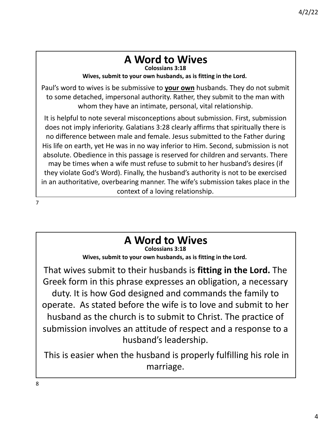# **A Word to Wives**

**Colossians 3:18**

**Wives, submit to your own husbands, as is fitting in the Lord.**

Paul's word to wives is be submissive to **your own** husbands. They do not submit to some detached, impersonal authority. Rather, they submit to the man with whom they have an intimate, personal, vital relationship.

It is helpful to note several misconceptions about submission. First, submission does not imply inferiority. Galatians 3:28 clearly affirms that spiritually there is no difference between male and female. Jesus submitted to the Father during His life on earth, yet He was in no way inferior to Him. Second, submission is not absolute. Obedience in this passage is reserved for children and servants. There may be times when a wife must refuse to submit to her husband's desires (if they violate God's Word). Finally, the husband's authority is not to be exercised in an authoritative, overbearing manner. The wife's submission takes place in the context of a loving relationship.

7

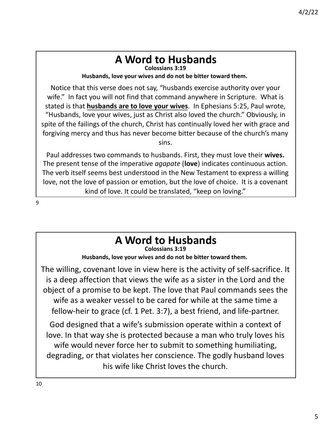#### **A Word to Husbands Colossians 3:19**

**Husbands, love your wives and do not be bitter toward them.**

Notice that this verse does not say, "husbands exercise authority over your wife." In fact you will not find that command anywhere in Scripture. What is stated is that **husbands are to love your wives**. In Ephesians 5:25, Paul wrote, "Husbands, love your wives, just as Christ also loved the church." Obviously, in spite of the failings of the church, Christ has continually loved her with grace and forgiving mercy and thus has never become bitter because of the church's many sins.

Paul addresses two commands to husbands. First, they must love their **wives.** The present tense of the imperative *agapate* (**love**) indicates continuous action. The verb itself seems best understood in the New Testament to express a willing love, not the love of passion or emotion, but the love of choice. It is a covenant kind of love. It could be translated, "keep on loving."

9

### **A Word to Husbands Colossians 3:19 Husbands, love your wives and do not be bitter toward them.** The willing, covenant love in view here is the activity of self-sacrifice. It is a deep affection that views the wife as a sister in the Lord and the object of a promise to be kept. The love that Paul commands sees the wife as a weaker vessel to be cared for while at the same time a fellow-heir to grace (cf. 1 Pet. 3:7), a best friend, and life-partner. God designed that a wife's submission operate within a context of love. In that way she is protected because a man who truly loves his wife would never force her to submit to something humiliating, degrading, or that violates her conscience. The godly husband loves his wife like Christ loves the church.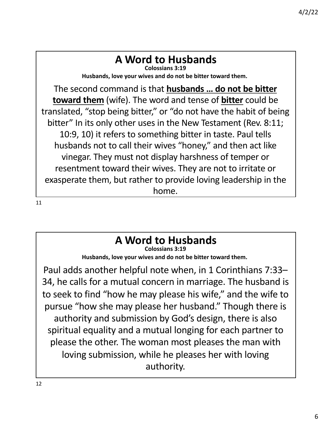#### **A Word to Husbands Colossians 3:19**

**Husbands, love your wives and do not be bitter toward them.**

The second command is that **husbands … do not be bitter toward them** (wife). The word and tense of **bitter** could be translated, "stop being bitter," or "do not have the habit of being bitter" In its only other uses in the New Testament (Rev. 8:11; 10:9, 10) it refers to something bitter in taste. Paul tells husbands not to call their wives "honey," and then act like vinegar. They must not display harshness of temper or resentment toward their wives. They are not to irritate or exasperate them, but rather to provide loving leadership in the home.

11

#### **A Word to Husbands Colossians 3:19**

**Husbands, love your wives and do not be bitter toward them.**

Paul adds another helpful note when, in 1 Corinthians 7:33– 34, he calls for a mutual concern in marriage. The husband is to seek to find "how he may please his wife," and the wife to pursue "how she may please her husband." Though there is authority and submission by God's design, there is also spiritual equality and a mutual longing for each partner to please the other. The woman most pleases the man with loving submission, while he pleases her with loving authority.